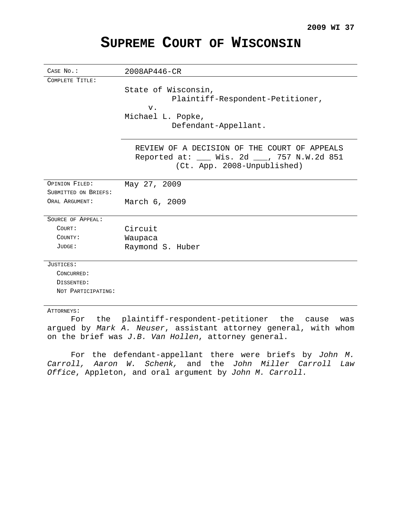# **SUPREME COURT OF WISCONSIN**

| CASE No.:            | 2008AP446-CR                                 |
|----------------------|----------------------------------------------|
| COMPLETE TITLE:      |                                              |
|                      | State of Wisconsin,                          |
|                      | Plaintiff-Respondent-Petitioner,             |
|                      | $V$ .                                        |
|                      | Michael L. Popke,                            |
|                      | Defendant-Appellant.                         |
|                      |                                              |
|                      | REVIEW OF A DECISION OF THE COURT OF APPEALS |
|                      | Reported at: ___ Wis. 2d ___, 757 N.W.2d 851 |
|                      | (Ct. App. 2008-Unpublished)                  |
|                      |                                              |
| OPINION FILED:       | May 27, 2009                                 |
| SUBMITTED ON BRIEFS: |                                              |
| ORAL ARGUMENT:       | March 6, 2009                                |
|                      |                                              |
| SOURCE OF APPEAL:    |                                              |
| COURT:               | Circuit                                      |
| COUNTY:              | Waupaca                                      |
| JUDGE:               | Raymond S. Huber                             |
|                      |                                              |
| JUSTICES:            |                                              |
| CONCURRED:           |                                              |
| DISSENTED:           |                                              |
| NOT PARTICIPATING:   |                                              |
|                      |                                              |
| ATTORNEYS:           |                                              |

For the plaintiff-respondent-petitioner the cause was argued by Mark A. Neuser, assistant attorney general, with whom on the brief was J.B. Van Hollen, attorney general.

For the defendant-appellant there were briefs by John M. Carroll, Aaron W. Schenk, and the John Miller Carroll Law Office, Appleton, and oral argument by John M. Carroll.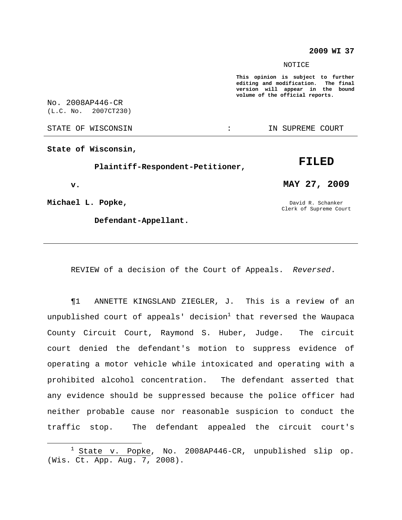#### **2009 WI 37**

#### **NOTICE**

**This opinion is subject to further editing and modification. The final version will appear in the bound volume of the official reports.**

No. 2008AP446-CR (L.C. No. 2007CT230)

STATE OF WISCONSIN **EXECUTE:** IN SUPREME COURT

**State of Wisconsin,**

**Plaintiff-Respondent-Petitioner,**

**v.**

**Michael L. Popke,**

**Defendant-Appellant.**

**MAY 27, 2009**

**FILED**

David R. Schanker Clerk of Supreme Court

REVIEW of a decision of the Court of Appeals. Reversed.

¶1 ANNETTE KINGSLAND ZIEGLER, J. This is a review of an unpublished court of appeals' decision $^1$  that reversed the Waupaca County Circuit Court, Raymond S. Huber, Judge. The circuit court denied the defendant's motion to suppress evidence of operating a motor vehicle while intoxicated and operating with a prohibited alcohol concentration. The defendant asserted that any evidence should be suppressed because the police officer had neither probable cause nor reasonable suspicion to conduct the traffic stop. The defendant appealed the circuit court's

 $1$  State v. Popke, No. 2008AP446-CR, unpublished slip op. (Wis. Ct. App. Aug. 7, 2008).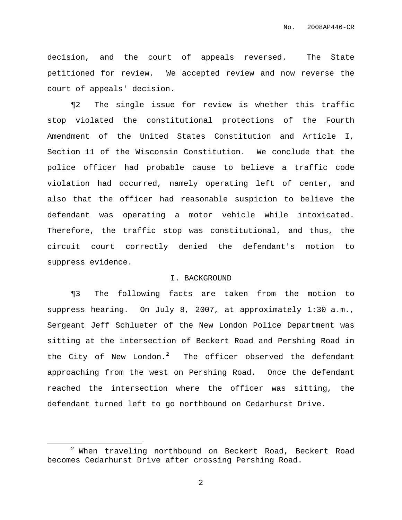decision, and the court of appeals reversed. The State petitioned for review. We accepted review and now reverse the court of appeals' decision.

¶2 The single issue for review is whether this traffic stop violated the constitutional protections of the Fourth Amendment of the United States Constitution and Article I, Section 11 of the Wisconsin Constitution. We conclude that the police officer had probable cause to believe a traffic code violation had occurred, namely operating left of center, and also that the officer had reasonable suspicion to believe the defendant was operating a motor vehicle while intoxicated. Therefore, the traffic stop was constitutional, and thus, the circuit court correctly denied the defendant's motion to suppress evidence.

### I. BACKGROUND

¶3 The following facts are taken from the motion to suppress hearing. On July 8, 2007, at approximately 1:30 a.m., Sergeant Jeff Schlueter of the New London Police Department was sitting at the intersection of Beckert Road and Pershing Road in the City of New London.<sup>2</sup> The officer observed the defendant approaching from the west on Pershing Road. Once the defendant reached the intersection where the officer was sitting, the defendant turned left to go northbound on Cedarhurst Drive.

<sup>&</sup>lt;sup>2</sup> When traveling northbound on Beckert Road, Beckert Road becomes Cedarhurst Drive after crossing Pershing Road.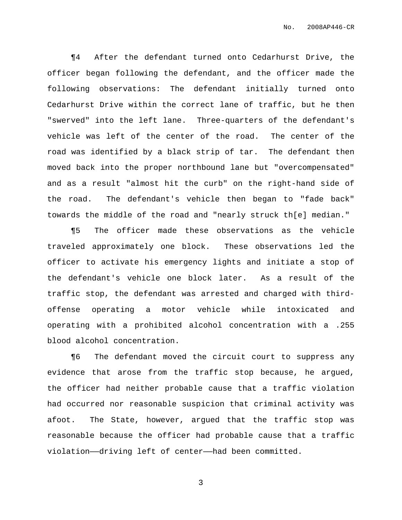¶4 After the defendant turned onto Cedarhurst Drive, the officer began following the defendant, and the officer made the following observations: The defendant initially turned onto Cedarhurst Drive within the correct lane of traffic, but he then "swerved" into the left lane. Three-quarters of the defendant's vehicle was left of the center of the road. The center of the road was identified by a black strip of tar. The defendant then moved back into the proper northbound lane but "overcompensated" and as a result "almost hit the curb" on the right-hand side of the road. The defendant's vehicle then began to "fade back" towards the middle of the road and "nearly struck th[e] median."

¶5 The officer made these observations as the vehicle traveled approximately one block. These observations led the officer to activate his emergency lights and initiate a stop of the defendant's vehicle one block later. As a result of the traffic stop, the defendant was arrested and charged with thirdoffense operating a motor vehicle while intoxicated and operating with a prohibited alcohol concentration with a .255 blood alcohol concentration.

¶6 The defendant moved the circuit court to suppress any evidence that arose from the traffic stop because, he argued, the officer had neither probable cause that a traffic violation had occurred nor reasonable suspicion that criminal activity was afoot. The State, however, argued that the traffic stop was reasonable because the officer had probable cause that a traffic violation——driving left of center——had been committed.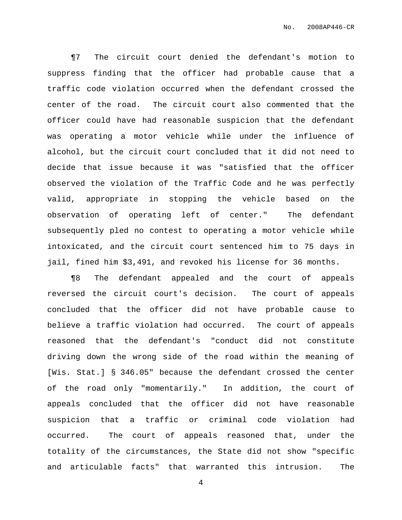¶7 The circuit court denied the defendant's motion to suppress finding that the officer had probable cause that a traffic code violation occurred when the defendant crossed the center of the road. The circuit court also commented that the officer could have had reasonable suspicion that the defendant was operating a motor vehicle while under the influence of alcohol, but the circuit court concluded that it did not need to decide that issue because it was "satisfied that the officer observed the violation of the Traffic Code and he was perfectly valid, appropriate in stopping the vehicle based on the observation of operating left of center." The defendant subsequently pled no contest to operating a motor vehicle while intoxicated, and the circuit court sentenced him to 75 days in jail, fined him \$3,491, and revoked his license for 36 months.

¶8 The defendant appealed and the court of appeals reversed the circuit court's decision. The court of appeals concluded that the officer did not have probable cause to believe a traffic violation had occurred. The court of appeals reasoned that the defendant's "conduct did not constitute driving down the wrong side of the road within the meaning of [Wis. Stat.] § 346.05" because the defendant crossed the center of the road only "momentarily." In addition, the court of appeals concluded that the officer did not have reasonable suspicion that a traffic or criminal code violation had occurred. The court of appeals reasoned that, under the totality of the circumstances, the State did not show "specific and articulable facts" that warranted this intrusion. The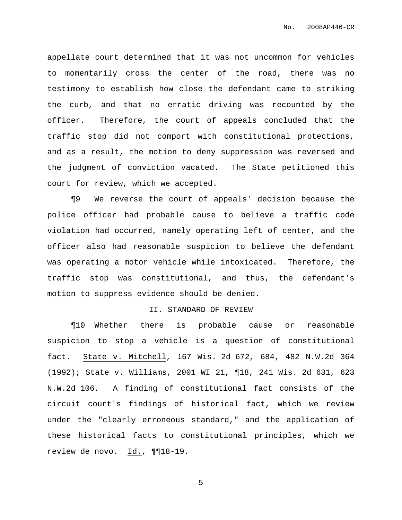appellate court determined that it was not uncommon for vehicles to momentarily cross the center of the road, there was no testimony to establish how close the defendant came to striking the curb, and that no erratic driving was recounted by the officer. Therefore, the court of appeals concluded that the traffic stop did not comport with constitutional protections, and as a result, the motion to deny suppression was reversed and the judgment of conviction vacated. The State petitioned this court for review, which we accepted.

¶9 We reverse the court of appeals' decision because the police officer had probable cause to believe a traffic code violation had occurred, namely operating left of center, and the officer also had reasonable suspicion to believe the defendant was operating a motor vehicle while intoxicated. Therefore, the traffic stop was constitutional, and thus, the defendant's motion to suppress evidence should be denied.

### II. STANDARD OF REVIEW

¶10 Whether there is probable cause or reasonable suspicion to stop a vehicle is a question of constitutional fact. State v. Mitchell, 167 Wis. 2d 672, 684, 482 N.W.2d 364 (1992); State v. Williams, 2001 WI 21, ¶18, 241 Wis. 2d 631, 623 N.W.2d 106. A finding of constitutional fact consists of the circuit court's findings of historical fact, which we review under the "clearly erroneous standard," and the application of these historical facts to constitutional principles, which we review de novo. Id., ¶¶18-19.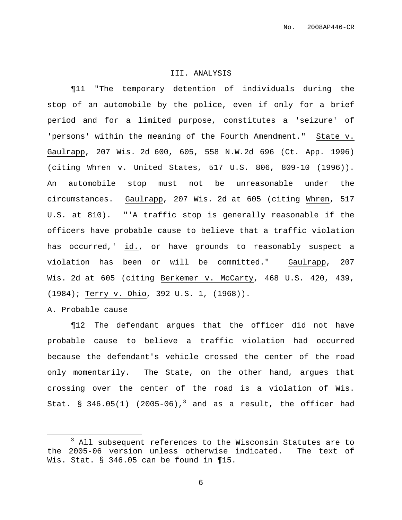#### III. ANALYSIS

¶11 "The temporary detention of individuals during the stop of an automobile by the police, even if only for a brief period and for a limited purpose, constitutes a 'seizure' of 'persons' within the meaning of the Fourth Amendment." State v. Gaulrapp, 207 Wis. 2d 600, 605, 558 N.W.2d 696 (Ct. App. 1996) (citing Whren v. United States, 517 U.S. 806, 809-10 (1996)). An automobile stop must not be unreasonable under the circumstances. Gaulrapp, 207 Wis. 2d at 605 (citing Whren, 517 U.S. at 810). "'A traffic stop is generally reasonable if the officers have probable cause to believe that a traffic violation has occurred,' id., or have grounds to reasonably suspect a violation has been or will be committed." Gaulrapp, 207 Wis. 2d at 605 (citing Berkemer v. McCarty, 468 U.S. 420, 439, (1984); Terry v. Ohio, 392 U.S. 1, (1968)).

A. Probable cause

¶12 The defendant argues that the officer did not have probable cause to believe a traffic violation had occurred because the defendant's vehicle crossed the center of the road only momentarily. The State, on the other hand, argues that crossing over the center of the road is a violation of Wis. Stat.  $\S$  346.05(1) (2005-06),<sup>3</sup> and as a result, the officer had

<sup>&</sup>lt;sup>3</sup> All subsequent references to the Wisconsin Statutes are to the 2005-06 version unless otherwise indicated. The text of Wis. Stat. § 346.05 can be found in ¶15.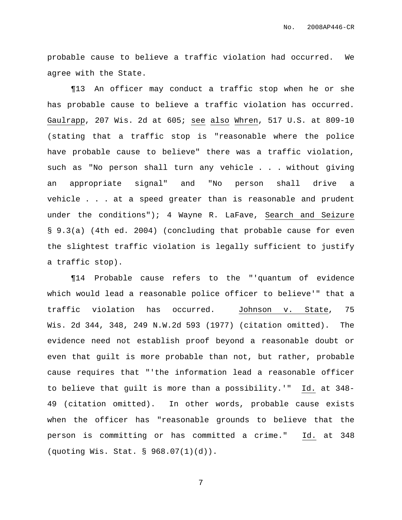probable cause to believe a traffic violation had occurred. We agree with the State.

¶13 An officer may conduct a traffic stop when he or she has probable cause to believe a traffic violation has occurred. Gaulrapp, 207 Wis. 2d at 605; see also Whren, 517 U.S. at 809-10 (stating that a traffic stop is "reasonable where the police have probable cause to believe" there was a traffic violation, such as "No person shall turn any vehicle . . . without giving an appropriate signal" and "No person shall drive a vehicle . . . at a speed greater than is reasonable and prudent under the conditions"); 4 Wayne R. LaFave, Search and Seizure § 9.3(a) (4th ed. 2004) (concluding that probable cause for even the slightest traffic violation is legally sufficient to justify a traffic stop).

¶14 Probable cause refers to the "'quantum of evidence which would lead a reasonable police officer to believe'" that a traffic violation has occurred. Johnson v. State, 75 Wis. 2d 344, 348, 249 N.W.2d 593 (1977) (citation omitted). The evidence need not establish proof beyond a reasonable doubt or even that guilt is more probable than not, but rather, probable cause requires that "'the information lead a reasonable officer to believe that guilt is more than a possibility.'" Id. at 348- 49 (citation omitted). In other words, probable cause exists when the officer has "reasonable grounds to believe that the person is committing or has committed a crime." Id. at 348 (quoting Wis. Stat. § 968.07(1)(d)).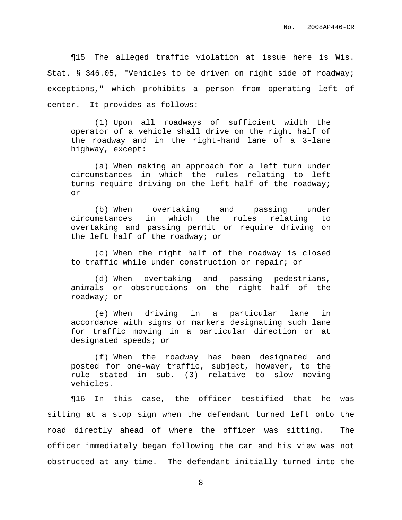¶15 The alleged traffic violation at issue here is Wis. Stat. § 346.05, "Vehicles to be driven on right side of roadway; exceptions," which prohibits a person from operating left of center. It provides as follows:

(1) Upon all roadways of sufficient width the operator of a vehicle shall drive on the right half of the roadway and in the right-hand lane of a 3-lane highway, except:

(a) When making an approach for a left turn under circumstances in which the rules relating to left turns require driving on the left half of the roadway; or

(b) When overtaking and passing under circumstances in which the rules relating to overtaking and passing permit or require driving on the left half of the roadway; or

(c) When the right half of the roadway is closed to traffic while under construction or repair; or

(d) When overtaking and passing pedestrians, animals or obstructions on the right half of the roadway; or

(e) When driving in a particular lane in accordance with signs or markers designating such lane for traffic moving in a particular direction or at designated speeds; or

(f) When the roadway has been designated and posted for one-way traffic, subject, however, to the rule stated in sub. (3) relative to slow moving vehicles.

¶16 In this case, the officer testified that he was sitting at a stop sign when the defendant turned left onto the road directly ahead of where the officer was sitting. The officer immediately began following the car and his view was not obstructed at any time. The defendant initially turned into the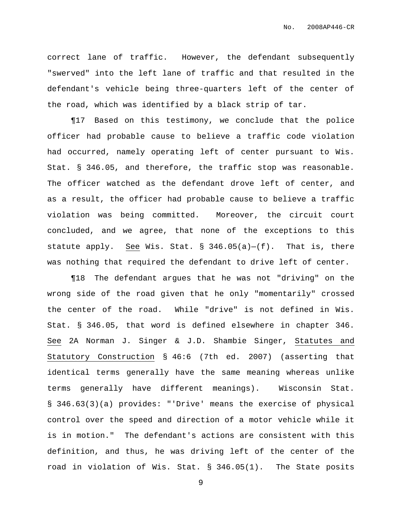correct lane of traffic. However, the defendant subsequently "swerved" into the left lane of traffic and that resulted in the defendant's vehicle being three-quarters left of the center of the road, which was identified by a black strip of tar.

¶17 Based on this testimony, we conclude that the police officer had probable cause to believe a traffic code violation had occurred, namely operating left of center pursuant to Wis. Stat. § 346.05, and therefore, the traffic stop was reasonable. The officer watched as the defendant drove left of center, and as a result, the officer had probable cause to believe a traffic violation was being committed. Moreover, the circuit court concluded, and we agree, that none of the exceptions to this statute apply. See Wis. Stat.  $\S$  346.05(a)-(f). That is, there was nothing that required the defendant to drive left of center.

¶18 The defendant argues that he was not "driving" on the wrong side of the road given that he only "momentarily" crossed the center of the road. While "drive" is not defined in Wis. Stat. § 346.05, that word is defined elsewhere in chapter 346. See 2A Norman J. Singer & J.D. Shambie Singer, Statutes and Statutory Construction § 46:6 (7th ed. 2007) (asserting that identical terms generally have the same meaning whereas unlike terms generally have different meanings). Wisconsin Stat. § 346.63(3)(a) provides: "'Drive' means the exercise of physical control over the speed and direction of a motor vehicle while it is in motion." The defendant's actions are consistent with this definition, and thus, he was driving left of the center of the road in violation of Wis. Stat. § 346.05(1). The State posits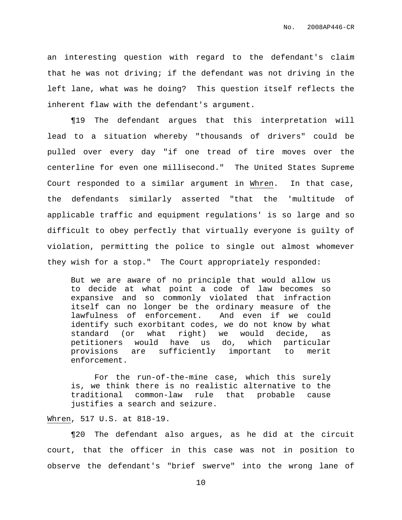an interesting question with regard to the defendant's claim that he was not driving; if the defendant was not driving in the left lane, what was he doing? This question itself reflects the inherent flaw with the defendant's argument.

¶19 The defendant argues that this interpretation will lead to a situation whereby "thousands of drivers" could be pulled over every day "if one tread of tire moves over the centerline for even one millisecond." The United States Supreme Court responded to a similar argument in Whren. In that case, the defendants similarly asserted "that the 'multitude of applicable traffic and equipment regulations' is so large and so difficult to obey perfectly that virtually everyone is guilty of violation, permitting the police to single out almost whomever they wish for a stop." The Court appropriately responded:

But we are aware of no principle that would allow us to decide at what point a code of law becomes so expansive and so commonly violated that infraction itself can no longer be the ordinary measure of the lawfulness of enforcement. And even if we could identify such exorbitant codes, we do not know by what standard (or what right) we would decide, as petitioners would have us do, which particular provisions are sufficiently important to merit enforcement.

For the run-of-the-mine case, which this surely is, we think there is no realistic alternative to the traditional common-law rule that probable cause justifies a search and seizure.

## Whren, 517 U.S. at 818-19.

¶20 The defendant also argues, as he did at the circuit court, that the officer in this case was not in position to observe the defendant's "brief swerve" into the wrong lane of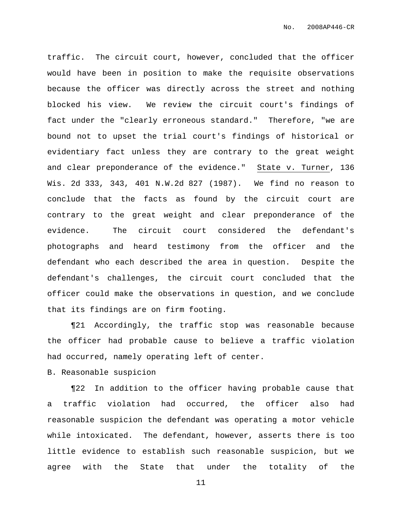traffic. The circuit court, however, concluded that the officer would have been in position to make the requisite observations because the officer was directly across the street and nothing blocked his view. We review the circuit court's findings of fact under the "clearly erroneous standard." Therefore, "we are bound not to upset the trial court's findings of historical or evidentiary fact unless they are contrary to the great weight and clear preponderance of the evidence." State v. Turner, 136 Wis. 2d 333, 343, 401 N.W.2d 827 (1987). We find no reason to conclude that the facts as found by the circuit court are contrary to the great weight and clear preponderance of the evidence. The circuit court considered the defendant's photographs and heard testimony from the officer and the defendant who each described the area in question. Despite the defendant's challenges, the circuit court concluded that the officer could make the observations in question, and we conclude that its findings are on firm footing.

¶21 Accordingly, the traffic stop was reasonable because the officer had probable cause to believe a traffic violation had occurred, namely operating left of center.

B. Reasonable suspicion

¶22 In addition to the officer having probable cause that a traffic violation had occurred, the officer also had reasonable suspicion the defendant was operating a motor vehicle while intoxicated. The defendant, however, asserts there is too little evidence to establish such reasonable suspicion, but we agree with the State that under the totality of the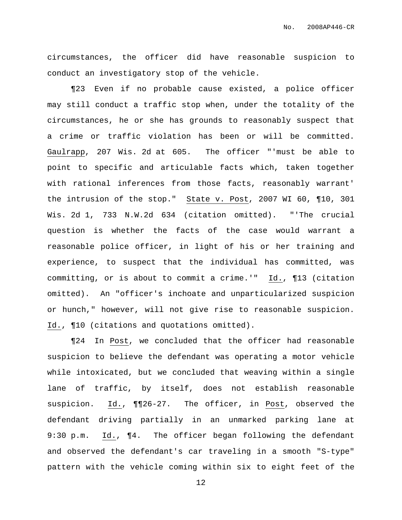circumstances, the officer did have reasonable suspicion to conduct an investigatory stop of the vehicle.

¶23 Even if no probable cause existed, a police officer may still conduct a traffic stop when, under the totality of the circumstances, he or she has grounds to reasonably suspect that a crime or traffic violation has been or will be committed. Gaulrapp, 207 Wis. 2d at 605. The officer "'must be able to point to specific and articulable facts which, taken together with rational inferences from those facts, reasonably warrant' the intrusion of the stop." State v. Post, 2007 WI 60, ¶10, 301 Wis. 2d 1, 733 N.W.2d 634 (citation omitted). "'The crucial question is whether the facts of the case would warrant a reasonable police officer, in light of his or her training and experience, to suspect that the individual has committed, was committing, or is about to commit a crime.'" Id., ¶13 (citation omitted). An "officer's inchoate and unparticularized suspicion or hunch," however, will not give rise to reasonable suspicion. Id., ¶10 (citations and quotations omitted).

¶24 In Post, we concluded that the officer had reasonable suspicion to believe the defendant was operating a motor vehicle while intoxicated, but we concluded that weaving within a single lane of traffic, by itself, does not establish reasonable suspicion. Id., ¶¶26-27. The officer, in Post, observed the defendant driving partially in an unmarked parking lane at 9:30 p.m. Id., ¶4. The officer began following the defendant and observed the defendant's car traveling in a smooth "S-type" pattern with the vehicle coming within six to eight feet of the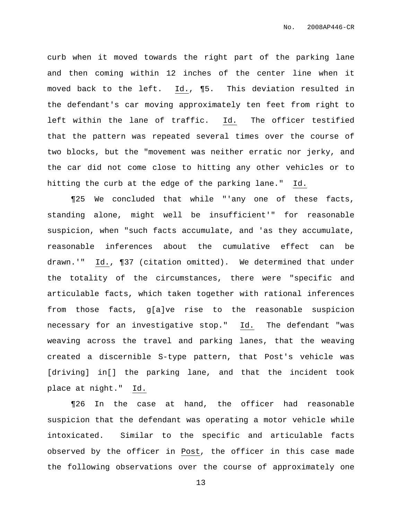curb when it moved towards the right part of the parking lane and then coming within 12 inches of the center line when it moved back to the left. Id., ¶5. This deviation resulted in the defendant's car moving approximately ten feet from right to left within the lane of traffic. Id. The officer testified that the pattern was repeated several times over the course of two blocks, but the "movement was neither erratic nor jerky, and the car did not come close to hitting any other vehicles or to hitting the curb at the edge of the parking lane." Id.

¶25 We concluded that while "'any one of these facts, standing alone, might well be insufficient'" for reasonable suspicion, when "such facts accumulate, and 'as they accumulate, reasonable inferences about the cumulative effect can be drawn.'" Id., ¶37 (citation omitted). We determined that under the totality of the circumstances, there were "specific and articulable facts, which taken together with rational inferences from those facts, g[a]ve rise to the reasonable suspicion necessary for an investigative stop." Id. The defendant "was weaving across the travel and parking lanes, that the weaving created a discernible S-type pattern, that Post's vehicle was [driving] in[] the parking lane, and that the incident took place at night." Id.

¶26 In the case at hand, the officer had reasonable suspicion that the defendant was operating a motor vehicle while intoxicated. Similar to the specific and articulable facts observed by the officer in Post, the officer in this case made the following observations over the course of approximately one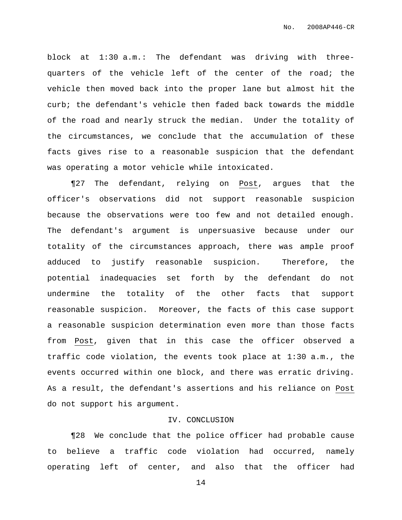block at 1:30 a.m.: The defendant was driving with threequarters of the vehicle left of the center of the road; the vehicle then moved back into the proper lane but almost hit the curb; the defendant's vehicle then faded back towards the middle of the road and nearly struck the median. Under the totality of the circumstances, we conclude that the accumulation of these facts gives rise to a reasonable suspicion that the defendant was operating a motor vehicle while intoxicated.

¶27 The defendant, relying on Post, argues that the officer's observations did not support reasonable suspicion because the observations were too few and not detailed enough. The defendant's argument is unpersuasive because under our totality of the circumstances approach, there was ample proof adduced to justify reasonable suspicion. Therefore, the potential inadequacies set forth by the defendant do not undermine the totality of the other facts that support reasonable suspicion. Moreover, the facts of this case support a reasonable suspicion determination even more than those facts from Post, given that in this case the officer observed a traffic code violation, the events took place at 1:30 a.m., the events occurred within one block, and there was erratic driving. As a result, the defendant's assertions and his reliance on Post do not support his argument.

## IV. CONCLUSION

¶28 We conclude that the police officer had probable cause to believe a traffic code violation had occurred, namely operating left of center, and also that the officer had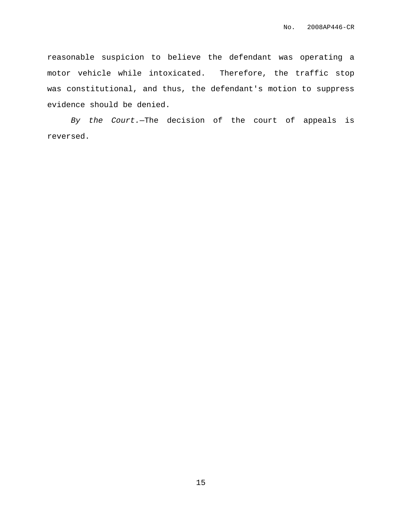reasonable suspicion to believe the defendant was operating a motor vehicle while intoxicated. Therefore, the traffic stop was constitutional, and thus, the defendant's motion to suppress evidence should be denied.

By the Court.—The decision of the court of appeals is reversed.